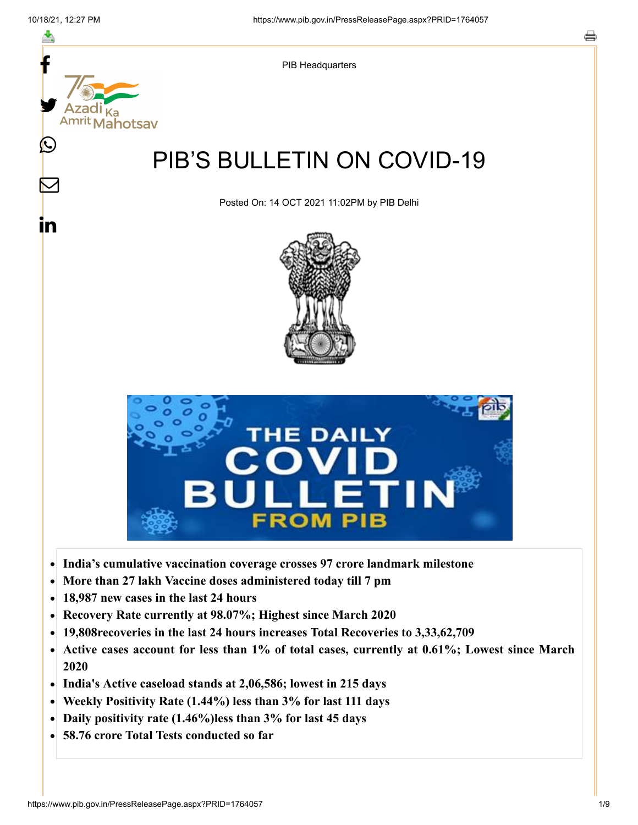

- **India's cumulative vaccination coverage crosses 97 crore landmark milestone**  $\bullet$
- **More than 27 lakh Vaccine doses administered today till 7 pm**  $\bullet$
- **18,987 new cases in the last 24 hours**  $\bullet$
- **Recovery Rate currently at 98.07%; Highest since March 2020**  $\bullet$
- **19,808recoveries in the last 24 hours increases Total Recoveries to 3,33,62,709**  $\bullet$
- **Active cases account for less than 1% of total cases, currently at 0.61%; Lowest since March**  $\bullet$ **2020**
- **India's Active caseload stands at 2,06,586; lowest in 215 days**  $\bullet$
- **Weekly Positivity Rate (1.44%) less than 3% for last 111 days**  $\bullet$
- **Daily positivity rate (1.46%)less than 3% for last 45 days**
- **58.76 crore Total Tests conducted so far**  $\bullet$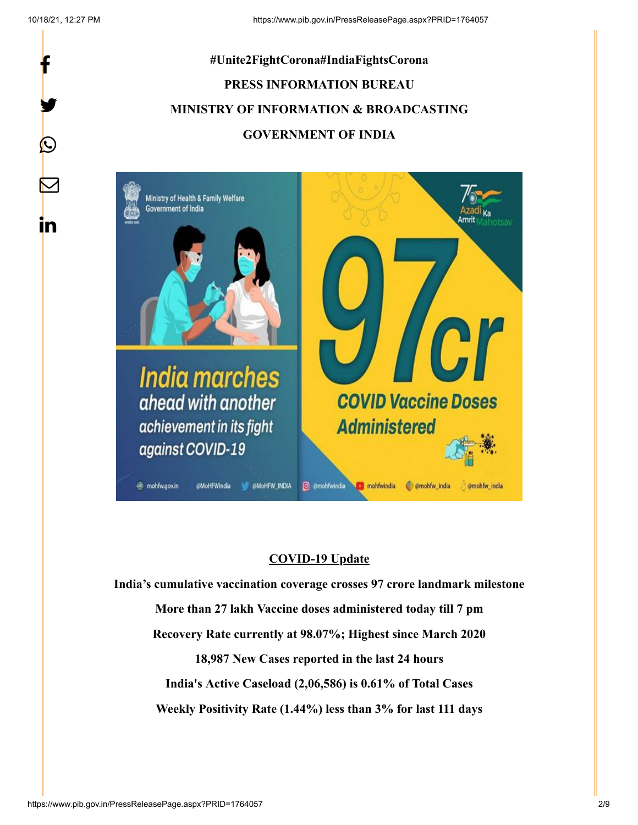f

y.

 $\bf \Omega$ 

 $\bm{\nabla}$ 

<u>in</u>



**BMoHFW INDIA** @ @mohfwindia **n**ohfwindia

emohfw\_india

@mohfw\_india

## **COVID-19 Update**

**India's cumulative vaccination coverage crosses 97 crore landmark milestone More than 27 lakh Vaccine doses administered today till 7 pm Recovery Rate currently at 98.07%; Highest since March 2020 18,987 New Cases reported in the last 24 hours India's Active Caseload (2,06,586) is 0.61% of Total Cases Weekly Positivity Rate (1.44%) less than 3% for last 111 days**

**垂 mohfw.gov.in** 

@MoHFWIndia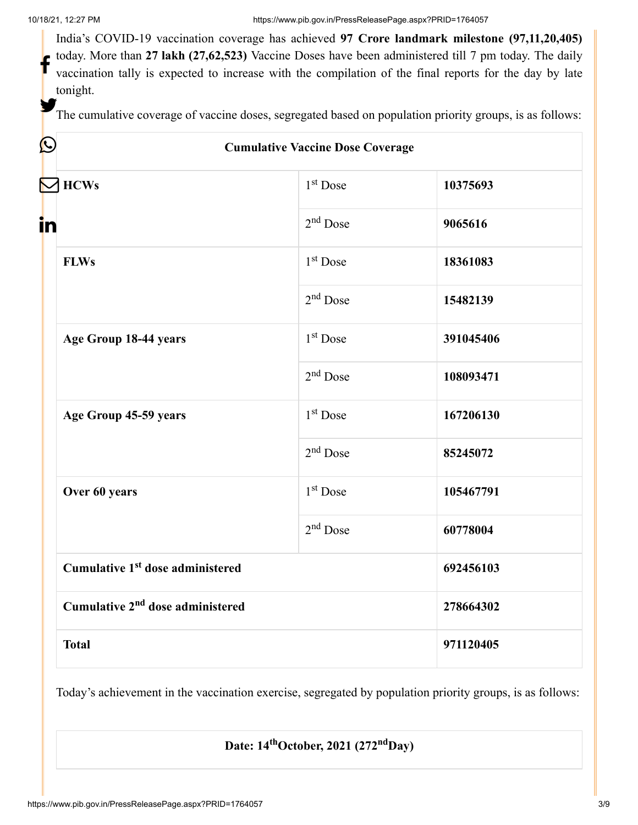Y.

India's COVID-19 vaccination coverage has achieved **97 Crore landmark milestone (97,11,20,405)** today. More than **27 lakh (27,62,523)** Vaccine Doses have been administered till 7 pm today. The daily vaccination tally is expected to increase with the compilation of the final reports for the day by late tonight. f

The cumulative coverage of vaccine doses, segregated based on population priority groups, is as follows:

| $\bigcirc$                                   | <b>Cumulative Vaccine Dose Coverage</b> |           |  |
|----------------------------------------------|-----------------------------------------|-----------|--|
| <b>N</b> HCWs                                | 1 <sup>st</sup> Dose                    | 10375693  |  |
| in                                           | $2nd$ Dose                              | 9065616   |  |
| <b>FLWs</b>                                  | $1st$ Dose                              | 18361083  |  |
|                                              | $2nd$ Dose                              | 15482139  |  |
| Age Group 18-44 years                        | $1st$ Dose                              | 391045406 |  |
|                                              | $2nd$ Dose                              | 108093471 |  |
| Age Group 45-59 years                        | $1st$ Dose                              | 167206130 |  |
|                                              | $2nd$ Dose                              | 85245072  |  |
| Over 60 years                                | $1st$ Dose                              | 105467791 |  |
|                                              | $2nd$ Dose                              | 60778004  |  |
| Cumulative 1 <sup>st</sup> dose administered |                                         | 692456103 |  |
| Cumulative 2 <sup>nd</sup> dose administered |                                         | 278664302 |  |
| <b>Total</b>                                 |                                         | 971120405 |  |

Today's achievement in the vaccination exercise, segregated by population priority groups, is as follows:

**Date: 14<sup>th</sup>October, 2021 (272<sup>nd</sup>Day)**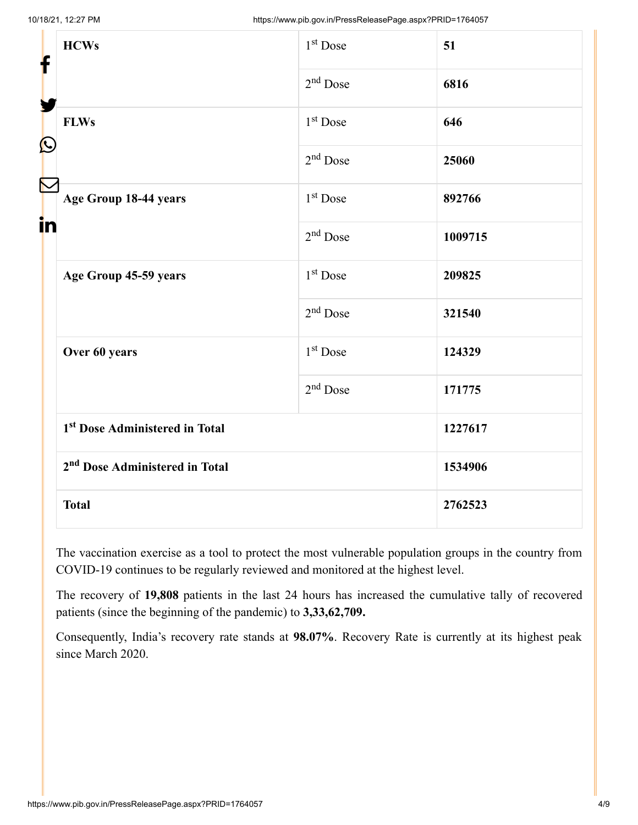| f            | <b>HCWs</b>                                | $1st$ Dose           | 51      |
|--------------|--------------------------------------------|----------------------|---------|
|              |                                            | $2nd$ Dose           | 6816    |
| $\bf \Omega$ | <b>FLWs</b>                                | 1 <sup>st</sup> Dose | 646     |
|              |                                            | $2nd$ Dose           | 25060   |
| in           | Age Group 18-44 years                      | 1 <sup>st</sup> Dose | 892766  |
|              |                                            | $2nd$ Dose           | 1009715 |
|              | Age Group 45-59 years                      | 1 <sup>st</sup> Dose | 209825  |
|              |                                            | $2nd$ Dose           | 321540  |
|              | Over 60 years                              | 1 <sup>st</sup> Dose | 124329  |
|              |                                            | $2nd$ Dose           | 171775  |
|              | 1st Dose Administered in Total             |                      | 1227617 |
|              | 2 <sup>nd</sup> Dose Administered in Total |                      | 1534906 |
| <b>Total</b> |                                            |                      | 2762523 |

The vaccination exercise as a tool to protect the most vulnerable population groups in the country from COVID-19 continues to be regularly reviewed and monitored at the highest level.

The recovery of **19,808** patients in the last 24 hours has increased the cumulative tally of recovered patients (since the beginning of the pandemic) to **3,33,62,709.**

Consequently, India's recovery rate stands at **98.07%**. Recovery Rate is currently at its highest peak since March 2020.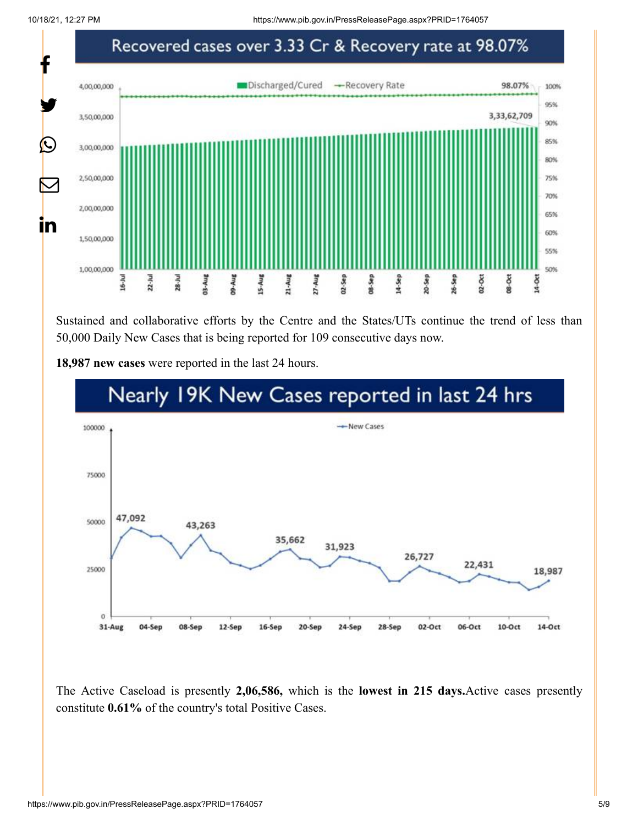10/18/21, 12:27 PM https://www.pib.gov.in/PressReleasePage.aspx?PRID=1764057



Sustained and collaborative efforts by the Centre and the States/UTs continue the trend of less than 50,000 Daily New Cases that is being reported for 109 consecutive days now.

**18,987 new cases** were reported in the last 24 hours.



The Active Caseload is presently **2,06,586,** which is the **lowest in 215 days.**Active cases presently constitute **0.61%** of the country's total Positive Cases.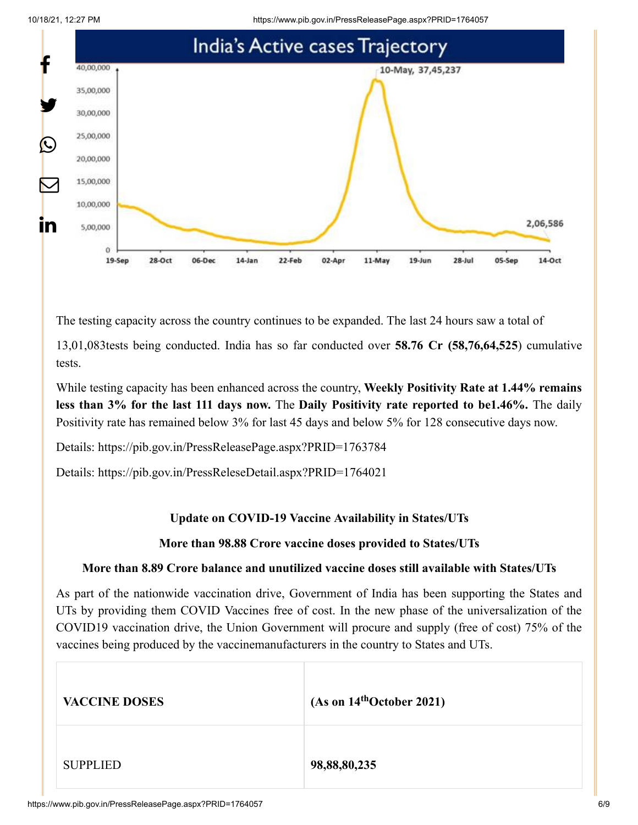



The testing capacity across the country continues to be expanded. The last 24 hours saw a total of

13,01,083tests being conducted. India has so far conducted over **58.76 Cr (58,76,64,525**) cumulative tests.

While testing capacity has been enhanced across the country, **Weekly Positivity Rate at 1.44% remains less than 3% for the last 111 days now.** The **Daily Positivity rate reported to be1.46%.** The daily Positivity rate has remained below 3% for last 45 days and below 5% for 128 consecutive days now.

Details:<https://pib.gov.in/PressReleasePage.aspx?PRID=1763784>

Details:<https://pib.gov.in/PressReleseDetail.aspx?PRID=1764021>

## **Update on COVID-19 Vaccine Availability in States/UTs**

## **More than 98.88 Crore vaccine doses provided to States/UTs**

## **More than 8.89 Crore balance and unutilized vaccine doses still available with States/UTs**

As part of the nationwide vaccination drive, Government of India has been supporting the States and UTs by providing them COVID Vaccines free of cost. In the new phase of the universalization of the COVID19 vaccination drive, the Union Government will procure and supply (free of cost) 75% of the vaccines being produced by the vaccinemanufacturers in the country to States and UTs.

| <b>VACCINE DOSES</b> | (As on 14 <sup>th</sup> October 2021) |
|----------------------|---------------------------------------|
| <b>SUPPLIED</b>      | 98,88,80,235                          |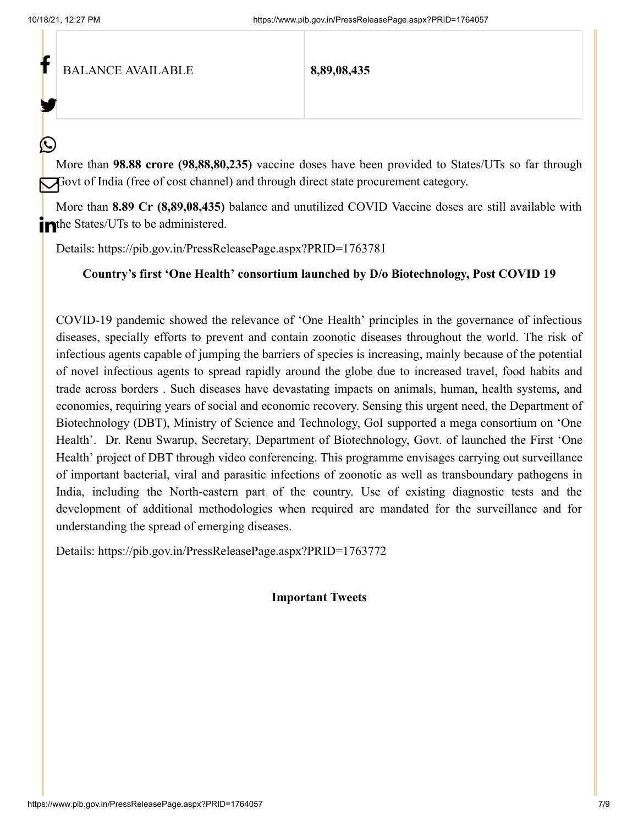f

У.

(L

BALANCE AVAILABLE **8,89,08,435**

More than **98.88 crore (98,88,80,235)** vaccine doses have been provided to States/UTs so far through Govt of India (free of cost channel) and through direct state procurement category.

More than **8.89 Cr (8,89,08,435)** balance and unutilized COVID Vaccine doses are still available with in the States/UTs to be administered.

Details:<https://pib.gov.in/PressReleasePage.aspx?PRID=1763781>

**Country's first 'One Health' consortium launched by D/o Biotechnology, Post COVID 19**

COVID-19 pandemic showed the relevance of 'One Health' principles in the governance of infectious diseases, specially efforts to prevent and contain zoonotic diseases throughout the world. The risk of infectious agents capable of jumping the barriers of species is increasing, mainly because of the potential of novel infectious agents to spread rapidly around the globe due to increased travel, food habits and trade across borders . Such diseases have devastating impacts on animals, human, health systems, and economies, requiring years of social and economic recovery. Sensing this urgent need, the Department of Biotechnology (DBT), Ministry of Science and Technology, GoI supported a mega consortium on 'One Health'. Dr. Renu Swarup, Secretary, Department of Biotechnology, Govt. of launched the First 'One Health' project of DBT through video conferencing. This programme envisages carrying out surveillance of important bacterial, viral and parasitic infections of zoonotic as well as transboundary pathogens in India, including the North-eastern part of the country. Use of existing diagnostic tests and the development of additional methodologies when required are mandated for the surveillance and for understanding the spread of emerging diseases.

Details:<https://pib.gov.in/PressReleasePage.aspx?PRID=1763772>

**Important Tweets**